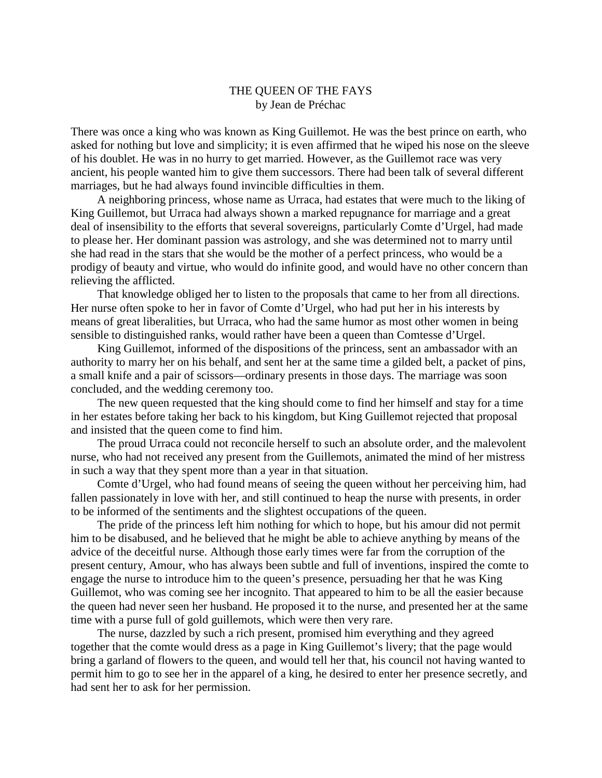## THE QUEEN OF THE FAYS by Jean de Préchac

There was once a king who was known as King Guillemot. He was the best prince on earth, who asked for nothing but love and simplicity; it is even affirmed that he wiped his nose on the sleeve of his doublet. He was in no hurry to get married. However, as the Guillemot race was very ancient, his people wanted him to give them successors. There had been talk of several different marriages, but he had always found invincible difficulties in them.

A neighboring princess, whose name as Urraca, had estates that were much to the liking of King Guillemot, but Urraca had always shown a marked repugnance for marriage and a great deal of insensibility to the efforts that several sovereigns, particularly Comte d'Urgel, had made to please her. Her dominant passion was astrology, and she was determined not to marry until she had read in the stars that she would be the mother of a perfect princess, who would be a prodigy of beauty and virtue, who would do infinite good, and would have no other concern than relieving the afflicted.

That knowledge obliged her to listen to the proposals that came to her from all directions. Her nurse often spoke to her in favor of Comte d'Urgel, who had put her in his interests by means of great liberalities, but Urraca, who had the same humor as most other women in being sensible to distinguished ranks, would rather have been a queen than Comtesse d'Urgel.

King Guillemot, informed of the dispositions of the princess, sent an ambassador with an authority to marry her on his behalf, and sent her at the same time a gilded belt, a packet of pins, a small knife and a pair of scissors—ordinary presents in those days. The marriage was soon concluded, and the wedding ceremony too.

The new queen requested that the king should come to find her himself and stay for a time in her estates before taking her back to his kingdom, but King Guillemot rejected that proposal and insisted that the queen come to find him.

The proud Urraca could not reconcile herself to such an absolute order, and the malevolent nurse, who had not received any present from the Guillemots, animated the mind of her mistress in such a way that they spent more than a year in that situation.

Comte d'Urgel, who had found means of seeing the queen without her perceiving him, had fallen passionately in love with her, and still continued to heap the nurse with presents, in order to be informed of the sentiments and the slightest occupations of the queen.

The pride of the princess left him nothing for which to hope, but his amour did not permit him to be disabused, and he believed that he might be able to achieve anything by means of the advice of the deceitful nurse. Although those early times were far from the corruption of the present century, Amour, who has always been subtle and full of inventions, inspired the comte to engage the nurse to introduce him to the queen's presence, persuading her that he was King Guillemot, who was coming see her incognito. That appeared to him to be all the easier because the queen had never seen her husband. He proposed it to the nurse, and presented her at the same time with a purse full of gold guillemots, which were then very rare.

The nurse, dazzled by such a rich present, promised him everything and they agreed together that the comte would dress as a page in King Guillemot's livery; that the page would bring a garland of flowers to the queen, and would tell her that, his council not having wanted to permit him to go to see her in the apparel of a king, he desired to enter her presence secretly, and had sent her to ask for her permission.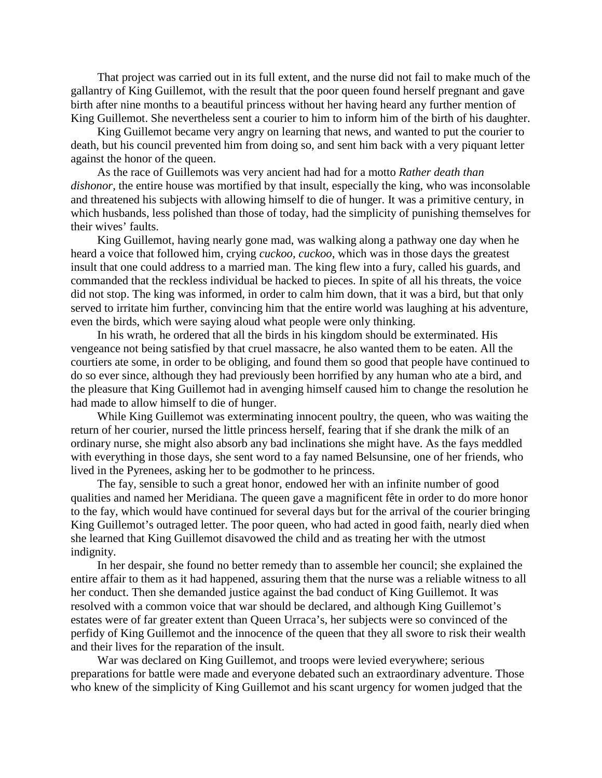That project was carried out in its full extent, and the nurse did not fail to make much of the gallantry of King Guillemot, with the result that the poor queen found herself pregnant and gave birth after nine months to a beautiful princess without her having heard any further mention of King Guillemot. She nevertheless sent a courier to him to inform him of the birth of his daughter.

King Guillemot became very angry on learning that news, and wanted to put the courier to death, but his council prevented him from doing so, and sent him back with a very piquant letter against the honor of the queen.

As the race of Guillemots was very ancient had had for a motto *Rather death than dishonor*, the entire house was mortified by that insult, especially the king, who was inconsolable and threatened his subjects with allowing himself to die of hunger. It was a primitive century, in which husbands, less polished than those of today, had the simplicity of punishing themselves for their wives' faults.

King Guillemot, having nearly gone mad, was walking along a pathway one day when he heard a voice that followed him, crying *cuckoo, cuckoo*, which was in those days the greatest insult that one could address to a married man. The king flew into a fury, called his guards, and commanded that the reckless individual be hacked to pieces. In spite of all his threats, the voice did not stop. The king was informed, in order to calm him down, that it was a bird, but that only served to irritate him further, convincing him that the entire world was laughing at his adventure, even the birds, which were saying aloud what people were only thinking.

In his wrath, he ordered that all the birds in his kingdom should be exterminated. His vengeance not being satisfied by that cruel massacre, he also wanted them to be eaten. All the courtiers ate some, in order to be obliging, and found them so good that people have continued to do so ever since, although they had previously been horrified by any human who ate a bird, and the pleasure that King Guillemot had in avenging himself caused him to change the resolution he had made to allow himself to die of hunger.

While King Guillemot was exterminating innocent poultry, the queen, who was waiting the return of her courier, nursed the little princess herself, fearing that if she drank the milk of an ordinary nurse, she might also absorb any bad inclinations she might have. As the fays meddled with everything in those days, she sent word to a fay named Belsunsine, one of her friends, who lived in the Pyrenees, asking her to be godmother to he princess.

The fay, sensible to such a great honor, endowed her with an infinite number of good qualities and named her Meridiana. The queen gave a magnificent fête in order to do more honor to the fay, which would have continued for several days but for the arrival of the courier bringing King Guillemot's outraged letter. The poor queen, who had acted in good faith, nearly died when she learned that King Guillemot disavowed the child and as treating her with the utmost indignity.

In her despair, she found no better remedy than to assemble her council; she explained the entire affair to them as it had happened, assuring them that the nurse was a reliable witness to all her conduct. Then she demanded justice against the bad conduct of King Guillemot. It was resolved with a common voice that war should be declared, and although King Guillemot's estates were of far greater extent than Queen Urraca's, her subjects were so convinced of the perfidy of King Guillemot and the innocence of the queen that they all swore to risk their wealth and their lives for the reparation of the insult.

War was declared on King Guillemot, and troops were levied everywhere; serious preparations for battle were made and everyone debated such an extraordinary adventure. Those who knew of the simplicity of King Guillemot and his scant urgency for women judged that the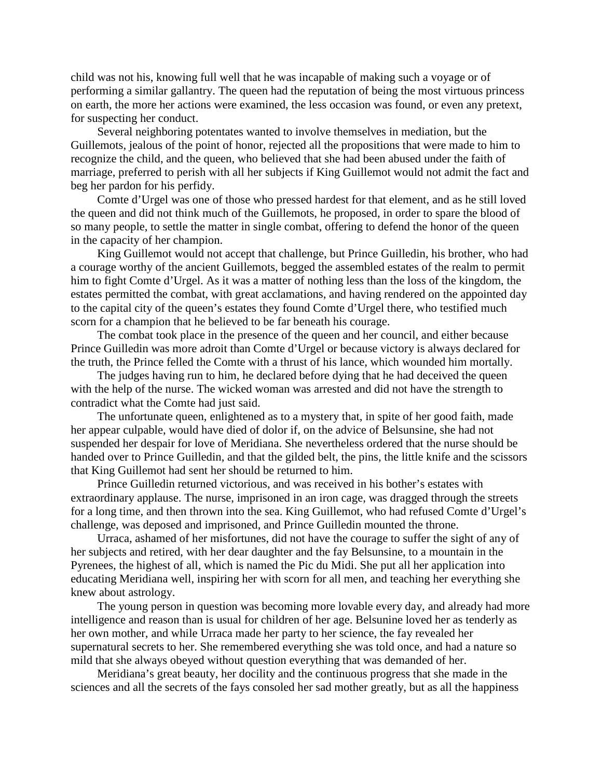child was not his, knowing full well that he was incapable of making such a voyage or of performing a similar gallantry. The queen had the reputation of being the most virtuous princess on earth, the more her actions were examined, the less occasion was found, or even any pretext, for suspecting her conduct.

Several neighboring potentates wanted to involve themselves in mediation, but the Guillemots, jealous of the point of honor, rejected all the propositions that were made to him to recognize the child, and the queen, who believed that she had been abused under the faith of marriage, preferred to perish with all her subjects if King Guillemot would not admit the fact and beg her pardon for his perfidy.

Comte d'Urgel was one of those who pressed hardest for that element, and as he still loved the queen and did not think much of the Guillemots, he proposed, in order to spare the blood of so many people, to settle the matter in single combat, offering to defend the honor of the queen in the capacity of her champion.

King Guillemot would not accept that challenge, but Prince Guilledin, his brother, who had a courage worthy of the ancient Guillemots, begged the assembled estates of the realm to permit him to fight Comte d'Urgel. As it was a matter of nothing less than the loss of the kingdom, the estates permitted the combat, with great acclamations, and having rendered on the appointed day to the capital city of the queen's estates they found Comte d'Urgel there, who testified much scorn for a champion that he believed to be far beneath his courage.

The combat took place in the presence of the queen and her council, and either because Prince Guilledin was more adroit than Comte d'Urgel or because victory is always declared for the truth, the Prince felled the Comte with a thrust of his lance, which wounded him mortally.

The judges having run to him, he declared before dying that he had deceived the queen with the help of the nurse. The wicked woman was arrested and did not have the strength to contradict what the Comte had just said.

The unfortunate queen, enlightened as to a mystery that, in spite of her good faith, made her appear culpable, would have died of dolor if, on the advice of Belsunsine, she had not suspended her despair for love of Meridiana. She nevertheless ordered that the nurse should be handed over to Prince Guilledin, and that the gilded belt, the pins, the little knife and the scissors that King Guillemot had sent her should be returned to him.

Prince Guilledin returned victorious, and was received in his bother's estates with extraordinary applause. The nurse, imprisoned in an iron cage, was dragged through the streets for a long time, and then thrown into the sea. King Guillemot, who had refused Comte d'Urgel's challenge, was deposed and imprisoned, and Prince Guilledin mounted the throne.

Urraca, ashamed of her misfortunes, did not have the courage to suffer the sight of any of her subjects and retired, with her dear daughter and the fay Belsunsine, to a mountain in the Pyrenees, the highest of all, which is named the Pic du Midi. She put all her application into educating Meridiana well, inspiring her with scorn for all men, and teaching her everything she knew about astrology.

The young person in question was becoming more lovable every day, and already had more intelligence and reason than is usual for children of her age. Belsunine loved her as tenderly as her own mother, and while Urraca made her party to her science, the fay revealed her supernatural secrets to her. She remembered everything she was told once, and had a nature so mild that she always obeyed without question everything that was demanded of her.

Meridiana's great beauty, her docility and the continuous progress that she made in the sciences and all the secrets of the fays consoled her sad mother greatly, but as all the happiness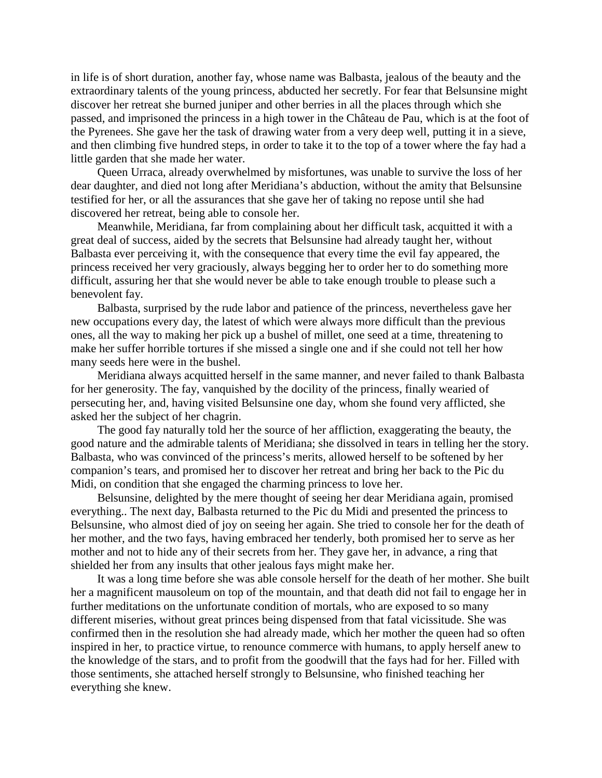in life is of short duration, another fay, whose name was Balbasta, jealous of the beauty and the extraordinary talents of the young princess, abducted her secretly. For fear that Belsunsine might discover her retreat she burned juniper and other berries in all the places through which she passed, and imprisoned the princess in a high tower in the Château de Pau, which is at the foot of the Pyrenees. She gave her the task of drawing water from a very deep well, putting it in a sieve, and then climbing five hundred steps, in order to take it to the top of a tower where the fay had a little garden that she made her water.

Queen Urraca, already overwhelmed by misfortunes, was unable to survive the loss of her dear daughter, and died not long after Meridiana's abduction, without the amity that Belsunsine testified for her, or all the assurances that she gave her of taking no repose until she had discovered her retreat, being able to console her.

Meanwhile, Meridiana, far from complaining about her difficult task, acquitted it with a great deal of success, aided by the secrets that Belsunsine had already taught her, without Balbasta ever perceiving it, with the consequence that every time the evil fay appeared, the princess received her very graciously, always begging her to order her to do something more difficult, assuring her that she would never be able to take enough trouble to please such a benevolent fay.

Balbasta, surprised by the rude labor and patience of the princess, nevertheless gave her new occupations every day, the latest of which were always more difficult than the previous ones, all the way to making her pick up a bushel of millet, one seed at a time, threatening to make her suffer horrible tortures if she missed a single one and if she could not tell her how many seeds here were in the bushel.

Meridiana always acquitted herself in the same manner, and never failed to thank Balbasta for her generosity. The fay, vanquished by the docility of the princess, finally wearied of persecuting her, and, having visited Belsunsine one day, whom she found very afflicted, she asked her the subject of her chagrin.

The good fay naturally told her the source of her affliction, exaggerating the beauty, the good nature and the admirable talents of Meridiana; she dissolved in tears in telling her the story. Balbasta, who was convinced of the princess's merits, allowed herself to be softened by her companion's tears, and promised her to discover her retreat and bring her back to the Pic du Midi, on condition that she engaged the charming princess to love her.

Belsunsine, delighted by the mere thought of seeing her dear Meridiana again, promised everything.. The next day, Balbasta returned to the Pic du Midi and presented the princess to Belsunsine, who almost died of joy on seeing her again. She tried to console her for the death of her mother, and the two fays, having embraced her tenderly, both promised her to serve as her mother and not to hide any of their secrets from her. They gave her, in advance, a ring that shielded her from any insults that other jealous fays might make her.

It was a long time before she was able console herself for the death of her mother. She built her a magnificent mausoleum on top of the mountain, and that death did not fail to engage her in further meditations on the unfortunate condition of mortals, who are exposed to so many different miseries, without great princes being dispensed from that fatal vicissitude. She was confirmed then in the resolution she had already made, which her mother the queen had so often inspired in her, to practice virtue, to renounce commerce with humans, to apply herself anew to the knowledge of the stars, and to profit from the goodwill that the fays had for her. Filled with those sentiments, she attached herself strongly to Belsunsine, who finished teaching her everything she knew.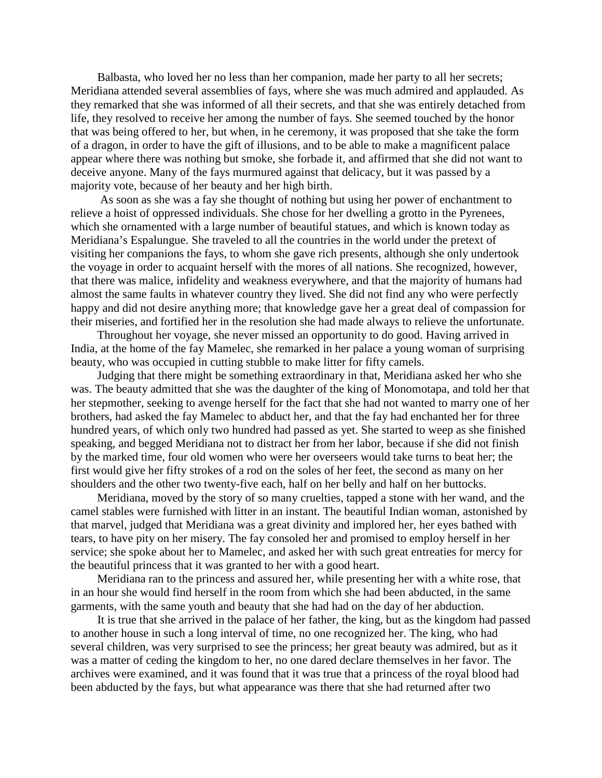Balbasta, who loved her no less than her companion, made her party to all her secrets; Meridiana attended several assemblies of fays, where she was much admired and applauded. As they remarked that she was informed of all their secrets, and that she was entirely detached from life, they resolved to receive her among the number of fays. She seemed touched by the honor that was being offered to her, but when, in he ceremony, it was proposed that she take the form of a dragon, in order to have the gift of illusions, and to be able to make a magnificent palace appear where there was nothing but smoke, she forbade it, and affirmed that she did not want to deceive anyone. Many of the fays murmured against that delicacy, but it was passed by a majority vote, because of her beauty and her high birth.

As soon as she was a fay she thought of nothing but using her power of enchantment to relieve a hoist of oppressed individuals. She chose for her dwelling a grotto in the Pyrenees, which she ornamented with a large number of beautiful statues, and which is known today as Meridiana's Espalungue. She traveled to all the countries in the world under the pretext of visiting her companions the fays, to whom she gave rich presents, although she only undertook the voyage in order to acquaint herself with the mores of all nations. She recognized, however, that there was malice, infidelity and weakness everywhere, and that the majority of humans had almost the same faults in whatever country they lived. She did not find any who were perfectly happy and did not desire anything more; that knowledge gave her a great deal of compassion for their miseries, and fortified her in the resolution she had made always to relieve the unfortunate.

Throughout her voyage, she never missed an opportunity to do good. Having arrived in India, at the home of the fay Mamelec, she remarked in her palace a young woman of surprising beauty, who was occupied in cutting stubble to make litter for fifty camels.

Judging that there might be something extraordinary in that, Meridiana asked her who she was. The beauty admitted that she was the daughter of the king of Monomotapa, and told her that her stepmother, seeking to avenge herself for the fact that she had not wanted to marry one of her brothers, had asked the fay Mamelec to abduct her, and that the fay had enchanted her for three hundred years, of which only two hundred had passed as yet. She started to weep as she finished speaking, and begged Meridiana not to distract her from her labor, because if she did not finish by the marked time, four old women who were her overseers would take turns to beat her; the first would give her fifty strokes of a rod on the soles of her feet, the second as many on her shoulders and the other two twenty-five each, half on her belly and half on her buttocks.

Meridiana, moved by the story of so many cruelties, tapped a stone with her wand, and the camel stables were furnished with litter in an instant. The beautiful Indian woman, astonished by that marvel, judged that Meridiana was a great divinity and implored her, her eyes bathed with tears, to have pity on her misery. The fay consoled her and promised to employ herself in her service; she spoke about her to Mamelec, and asked her with such great entreaties for mercy for the beautiful princess that it was granted to her with a good heart.

Meridiana ran to the princess and assured her, while presenting her with a white rose, that in an hour she would find herself in the room from which she had been abducted, in the same garments, with the same youth and beauty that she had had on the day of her abduction.

It is true that she arrived in the palace of her father, the king, but as the kingdom had passed to another house in such a long interval of time, no one recognized her. The king, who had several children, was very surprised to see the princess; her great beauty was admired, but as it was a matter of ceding the kingdom to her, no one dared declare themselves in her favor. The archives were examined, and it was found that it was true that a princess of the royal blood had been abducted by the fays, but what appearance was there that she had returned after two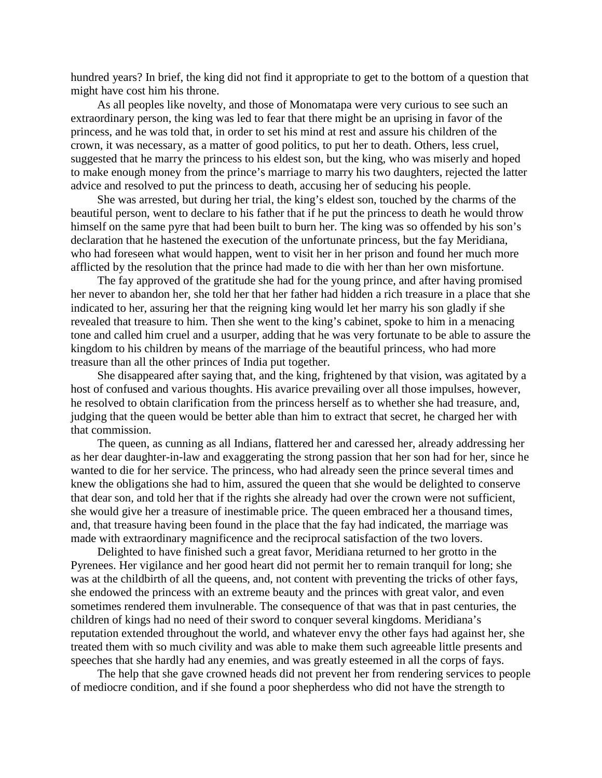hundred years? In brief, the king did not find it appropriate to get to the bottom of a question that might have cost him his throne.

As all peoples like novelty, and those of Monomatapa were very curious to see such an extraordinary person, the king was led to fear that there might be an uprising in favor of the princess, and he was told that, in order to set his mind at rest and assure his children of the crown, it was necessary, as a matter of good politics, to put her to death. Others, less cruel, suggested that he marry the princess to his eldest son, but the king, who was miserly and hoped to make enough money from the prince's marriage to marry his two daughters, rejected the latter advice and resolved to put the princess to death, accusing her of seducing his people.

She was arrested, but during her trial, the king's eldest son, touched by the charms of the beautiful person, went to declare to his father that if he put the princess to death he would throw himself on the same pyre that had been built to burn her. The king was so offended by his son's declaration that he hastened the execution of the unfortunate princess, but the fay Meridiana, who had foreseen what would happen, went to visit her in her prison and found her much more afflicted by the resolution that the prince had made to die with her than her own misfortune.

The fay approved of the gratitude she had for the young prince, and after having promised her never to abandon her, she told her that her father had hidden a rich treasure in a place that she indicated to her, assuring her that the reigning king would let her marry his son gladly if she revealed that treasure to him. Then she went to the king's cabinet, spoke to him in a menacing tone and called him cruel and a usurper, adding that he was very fortunate to be able to assure the kingdom to his children by means of the marriage of the beautiful princess, who had more treasure than all the other princes of India put together.

She disappeared after saying that, and the king, frightened by that vision, was agitated by a host of confused and various thoughts. His avarice prevailing over all those impulses, however, he resolved to obtain clarification from the princess herself as to whether she had treasure, and, judging that the queen would be better able than him to extract that secret, he charged her with that commission.

The queen, as cunning as all Indians, flattered her and caressed her, already addressing her as her dear daughter-in-law and exaggerating the strong passion that her son had for her, since he wanted to die for her service. The princess, who had already seen the prince several times and knew the obligations she had to him, assured the queen that she would be delighted to conserve that dear son, and told her that if the rights she already had over the crown were not sufficient, she would give her a treasure of inestimable price. The queen embraced her a thousand times, and, that treasure having been found in the place that the fay had indicated, the marriage was made with extraordinary magnificence and the reciprocal satisfaction of the two lovers.

Delighted to have finished such a great favor, Meridiana returned to her grotto in the Pyrenees. Her vigilance and her good heart did not permit her to remain tranquil for long; she was at the childbirth of all the queens, and, not content with preventing the tricks of other fays, she endowed the princess with an extreme beauty and the princes with great valor, and even sometimes rendered them invulnerable. The consequence of that was that in past centuries, the children of kings had no need of their sword to conquer several kingdoms. Meridiana's reputation extended throughout the world, and whatever envy the other fays had against her, she treated them with so much civility and was able to make them such agreeable little presents and speeches that she hardly had any enemies, and was greatly esteemed in all the corps of fays.

The help that she gave crowned heads did not prevent her from rendering services to people of mediocre condition, and if she found a poor shepherdess who did not have the strength to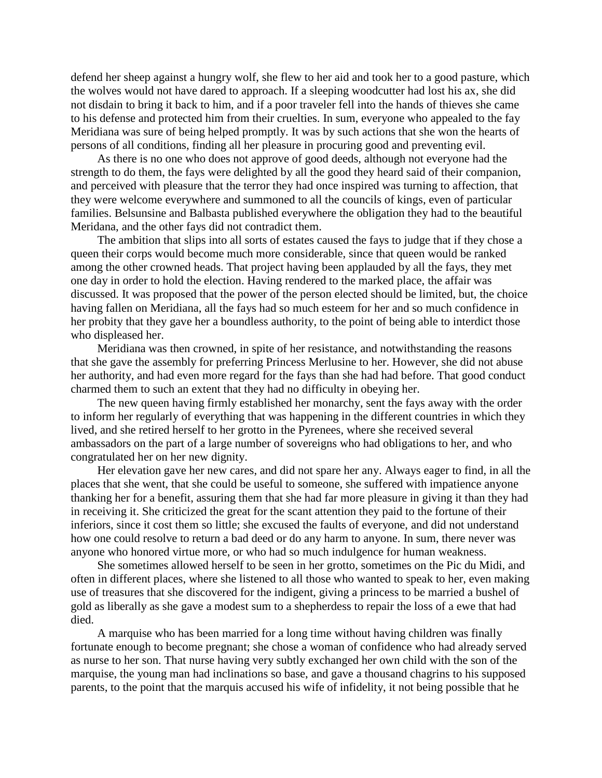defend her sheep against a hungry wolf, she flew to her aid and took her to a good pasture, which the wolves would not have dared to approach. If a sleeping woodcutter had lost his ax, she did not disdain to bring it back to him, and if a poor traveler fell into the hands of thieves she came to his defense and protected him from their cruelties. In sum, everyone who appealed to the fay Meridiana was sure of being helped promptly. It was by such actions that she won the hearts of persons of all conditions, finding all her pleasure in procuring good and preventing evil.

As there is no one who does not approve of good deeds, although not everyone had the strength to do them, the fays were delighted by all the good they heard said of their companion, and perceived with pleasure that the terror they had once inspired was turning to affection, that they were welcome everywhere and summoned to all the councils of kings, even of particular families. Belsunsine and Balbasta published everywhere the obligation they had to the beautiful Meridana, and the other fays did not contradict them.

The ambition that slips into all sorts of estates caused the fays to judge that if they chose a queen their corps would become much more considerable, since that queen would be ranked among the other crowned heads. That project having been applauded by all the fays, they met one day in order to hold the election. Having rendered to the marked place, the affair was discussed. It was proposed that the power of the person elected should be limited, but, the choice having fallen on Meridiana, all the fays had so much esteem for her and so much confidence in her probity that they gave her a boundless authority, to the point of being able to interdict those who displeased her.

Meridiana was then crowned, in spite of her resistance, and notwithstanding the reasons that she gave the assembly for preferring Princess Merlusine to her. However, she did not abuse her authority, and had even more regard for the fays than she had had before. That good conduct charmed them to such an extent that they had no difficulty in obeying her.

The new queen having firmly established her monarchy, sent the fays away with the order to inform her regularly of everything that was happening in the different countries in which they lived, and she retired herself to her grotto in the Pyrenees, where she received several ambassadors on the part of a large number of sovereigns who had obligations to her, and who congratulated her on her new dignity.

Her elevation gave her new cares, and did not spare her any. Always eager to find, in all the places that she went, that she could be useful to someone, she suffered with impatience anyone thanking her for a benefit, assuring them that she had far more pleasure in giving it than they had in receiving it. She criticized the great for the scant attention they paid to the fortune of their inferiors, since it cost them so little; she excused the faults of everyone, and did not understand how one could resolve to return a bad deed or do any harm to anyone. In sum, there never was anyone who honored virtue more, or who had so much indulgence for human weakness.

She sometimes allowed herself to be seen in her grotto, sometimes on the Pic du Midi, and often in different places, where she listened to all those who wanted to speak to her, even making use of treasures that she discovered for the indigent, giving a princess to be married a bushel of gold as liberally as she gave a modest sum to a shepherdess to repair the loss of a ewe that had died.

A marquise who has been married for a long time without having children was finally fortunate enough to become pregnant; she chose a woman of confidence who had already served as nurse to her son. That nurse having very subtly exchanged her own child with the son of the marquise, the young man had inclinations so base, and gave a thousand chagrins to his supposed parents, to the point that the marquis accused his wife of infidelity, it not being possible that he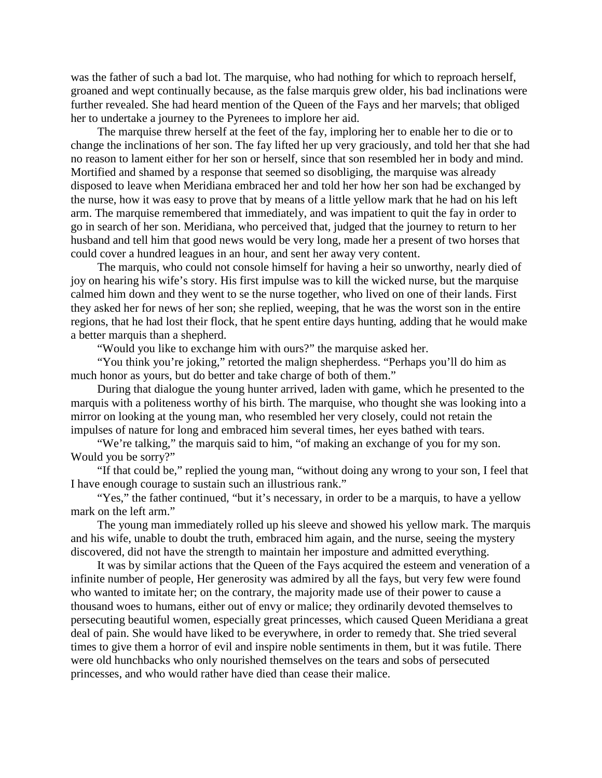was the father of such a bad lot. The marquise, who had nothing for which to reproach herself, groaned and wept continually because, as the false marquis grew older, his bad inclinations were further revealed. She had heard mention of the Queen of the Fays and her marvels; that obliged her to undertake a journey to the Pyrenees to implore her aid.

The marquise threw herself at the feet of the fay, imploring her to enable her to die or to change the inclinations of her son. The fay lifted her up very graciously, and told her that she had no reason to lament either for her son or herself, since that son resembled her in body and mind. Mortified and shamed by a response that seemed so disobliging, the marquise was already disposed to leave when Meridiana embraced her and told her how her son had be exchanged by the nurse, how it was easy to prove that by means of a little yellow mark that he had on his left arm. The marquise remembered that immediately, and was impatient to quit the fay in order to go in search of her son. Meridiana, who perceived that, judged that the journey to return to her husband and tell him that good news would be very long, made her a present of two horses that could cover a hundred leagues in an hour, and sent her away very content.

The marquis, who could not console himself for having a heir so unworthy, nearly died of joy on hearing his wife's story. His first impulse was to kill the wicked nurse, but the marquise calmed him down and they went to se the nurse together, who lived on one of their lands. First they asked her for news of her son; she replied, weeping, that he was the worst son in the entire regions, that he had lost their flock, that he spent entire days hunting, adding that he would make a better marquis than a shepherd.

"Would you like to exchange him with ours?" the marquise asked her.

"You think you're joking," retorted the malign shepherdess. "Perhaps you'll do him as much honor as yours, but do better and take charge of both of them."

During that dialogue the young hunter arrived, laden with game, which he presented to the marquis with a politeness worthy of his birth. The marquise, who thought she was looking into a mirror on looking at the young man, who resembled her very closely, could not retain the impulses of nature for long and embraced him several times, her eyes bathed with tears.

"We're talking," the marquis said to him, "of making an exchange of you for my son. Would you be sorry?"

"If that could be," replied the young man, "without doing any wrong to your son, I feel that I have enough courage to sustain such an illustrious rank."

"Yes," the father continued, "but it's necessary, in order to be a marquis, to have a yellow mark on the left arm."

The young man immediately rolled up his sleeve and showed his yellow mark. The marquis and his wife, unable to doubt the truth, embraced him again, and the nurse, seeing the mystery discovered, did not have the strength to maintain her imposture and admitted everything.

It was by similar actions that the Queen of the Fays acquired the esteem and veneration of a infinite number of people, Her generosity was admired by all the fays, but very few were found who wanted to imitate her; on the contrary, the majority made use of their power to cause a thousand woes to humans, either out of envy or malice; they ordinarily devoted themselves to persecuting beautiful women, especially great princesses, which caused Queen Meridiana a great deal of pain. She would have liked to be everywhere, in order to remedy that. She tried several times to give them a horror of evil and inspire noble sentiments in them, but it was futile. There were old hunchbacks who only nourished themselves on the tears and sobs of persecuted princesses, and who would rather have died than cease their malice.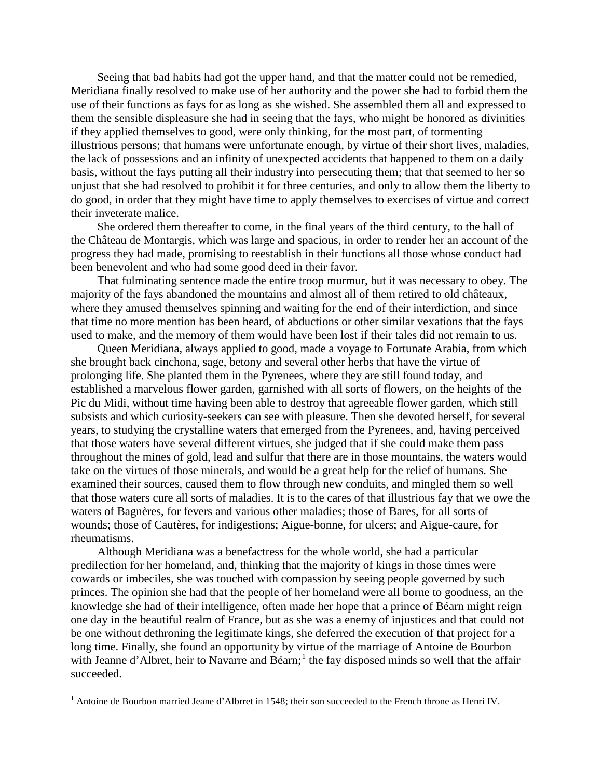Seeing that bad habits had got the upper hand, and that the matter could not be remedied, Meridiana finally resolved to make use of her authority and the power she had to forbid them the use of their functions as fays for as long as she wished. She assembled them all and expressed to them the sensible displeasure she had in seeing that the fays, who might be honored as divinities if they applied themselves to good, were only thinking, for the most part, of tormenting illustrious persons; that humans were unfortunate enough, by virtue of their short lives, maladies, the lack of possessions and an infinity of unexpected accidents that happened to them on a daily basis, without the fays putting all their industry into persecuting them; that that seemed to her so unjust that she had resolved to prohibit it for three centuries, and only to allow them the liberty to do good, in order that they might have time to apply themselves to exercises of virtue and correct their inveterate malice.

She ordered them thereafter to come, in the final years of the third century, to the hall of the Château de Montargis, which was large and spacious, in order to render her an account of the progress they had made, promising to reestablish in their functions all those whose conduct had been benevolent and who had some good deed in their favor.

That fulminating sentence made the entire troop murmur, but it was necessary to obey. The majority of the fays abandoned the mountains and almost all of them retired to old châteaux, where they amused themselves spinning and waiting for the end of their interdiction, and since that time no more mention has been heard, of abductions or other similar vexations that the fays used to make, and the memory of them would have been lost if their tales did not remain to us.

Queen Meridiana, always applied to good, made a voyage to Fortunate Arabia, from which she brought back cinchona, sage, betony and several other herbs that have the virtue of prolonging life. She planted them in the Pyrenees, where they are still found today, and established a marvelous flower garden, garnished with all sorts of flowers, on the heights of the Pic du Midi, without time having been able to destroy that agreeable flower garden, which still subsists and which curiosity-seekers can see with pleasure. Then she devoted herself, for several years, to studying the crystalline waters that emerged from the Pyrenees, and, having perceived that those waters have several different virtues, she judged that if she could make them pass throughout the mines of gold, lead and sulfur that there are in those mountains, the waters would take on the virtues of those minerals, and would be a great help for the relief of humans. She examined their sources, caused them to flow through new conduits, and mingled them so well that those waters cure all sorts of maladies. It is to the cares of that illustrious fay that we owe the waters of Bagnères, for fevers and various other maladies; those of Bares, for all sorts of wounds; those of Cautères, for indigestions; Aigue-bonne, for ulcers; and Aigue-caure, for rheumatisms.

Although Meridiana was a benefactress for the whole world, she had a particular predilection for her homeland, and, thinking that the majority of kings in those times were cowards or imbeciles, she was touched with compassion by seeing people governed by such princes. The opinion she had that the people of her homeland were all borne to goodness, an the knowledge she had of their intelligence, often made her hope that a prince of Béarn might reign one day in the beautiful realm of France, but as she was a enemy of injustices and that could not be one without dethroning the legitimate kings, she deferred the execution of that project for a long time. Finally, she found an opportunity by virtue of the marriage of Antoine de Bourbon with Jeanne d'Albret, heir to Navarre and Béarn;<sup>[1](#page-8-0)</sup> the fay disposed minds so well that the affair succeeded.

<span id="page-8-0"></span><sup>&</sup>lt;sup>1</sup> Antoine de Bourbon married Jeane d'Albrret in 1548; their son succeeded to the French throne as Henri IV.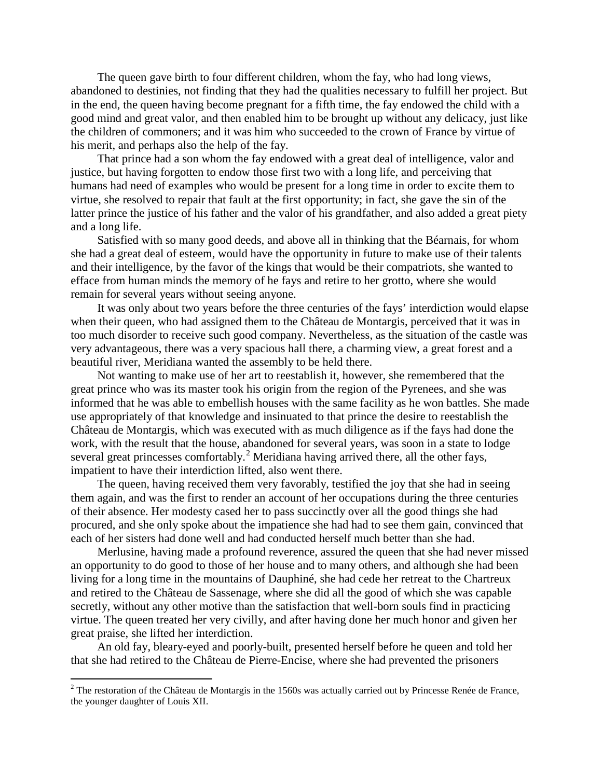The queen gave birth to four different children, whom the fay, who had long views, abandoned to destinies, not finding that they had the qualities necessary to fulfill her project. But in the end, the queen having become pregnant for a fifth time, the fay endowed the child with a good mind and great valor, and then enabled him to be brought up without any delicacy, just like the children of commoners; and it was him who succeeded to the crown of France by virtue of his merit, and perhaps also the help of the fay.

That prince had a son whom the fay endowed with a great deal of intelligence, valor and justice, but having forgotten to endow those first two with a long life, and perceiving that humans had need of examples who would be present for a long time in order to excite them to virtue, she resolved to repair that fault at the first opportunity; in fact, she gave the sin of the latter prince the justice of his father and the valor of his grandfather, and also added a great piety and a long life.

Satisfied with so many good deeds, and above all in thinking that the Béarnais, for whom she had a great deal of esteem, would have the opportunity in future to make use of their talents and their intelligence, by the favor of the kings that would be their compatriots, she wanted to efface from human minds the memory of he fays and retire to her grotto, where she would remain for several years without seeing anyone.

It was only about two years before the three centuries of the fays' interdiction would elapse when their queen, who had assigned them to the Château de Montargis, perceived that it was in too much disorder to receive such good company. Nevertheless, as the situation of the castle was very advantageous, there was a very spacious hall there, a charming view, a great forest and a beautiful river, Meridiana wanted the assembly to be held there.

Not wanting to make use of her art to reestablish it, however, she remembered that the great prince who was its master took his origin from the region of the Pyrenees, and she was informed that he was able to embellish houses with the same facility as he won battles. She made use appropriately of that knowledge and insinuated to that prince the desire to reestablish the Château de Montargis, which was executed with as much diligence as if the fays had done the work, with the result that the house, abandoned for several years, was soon in a state to lodge several great princesses comfortably.<sup>[2](#page-9-0)</sup> Meridiana having arrived there, all the other fays, impatient to have their interdiction lifted, also went there.

The queen, having received them very favorably, testified the joy that she had in seeing them again, and was the first to render an account of her occupations during the three centuries of their absence. Her modesty cased her to pass succinctly over all the good things she had procured, and she only spoke about the impatience she had had to see them gain, convinced that each of her sisters had done well and had conducted herself much better than she had.

Merlusine, having made a profound reverence, assured the queen that she had never missed an opportunity to do good to those of her house and to many others, and although she had been living for a long time in the mountains of Dauphiné, she had cede her retreat to the Chartreux and retired to the Château de Sassenage, where she did all the good of which she was capable secretly, without any other motive than the satisfaction that well-born souls find in practicing virtue. The queen treated her very civilly, and after having done her much honor and given her great praise, she lifted her interdiction.

An old fay, bleary-eyed and poorly-built, presented herself before he queen and told her that she had retired to the Château de Pierre-Encise, where she had prevented the prisoners

<span id="page-9-0"></span> $2$  The restoration of the Château de Montargis in the 1560s was actually carried out by Princesse Renée de France, the younger daughter of Louis XII.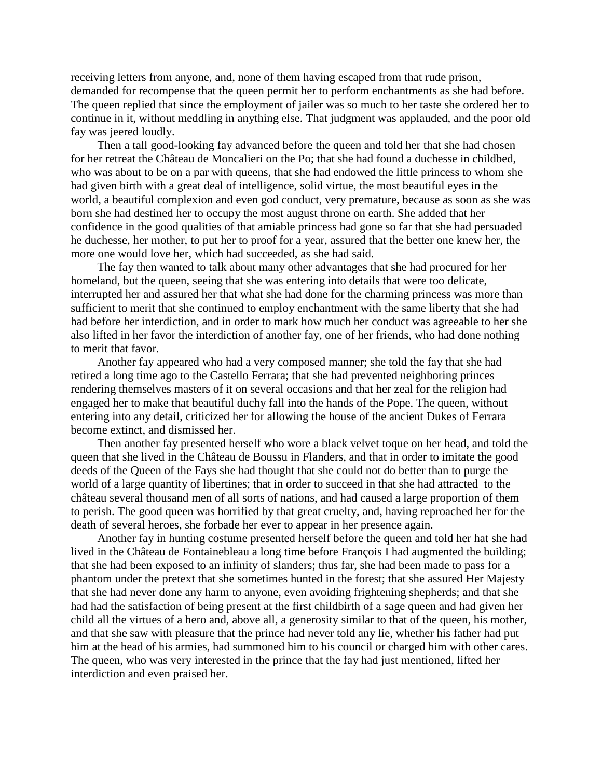receiving letters from anyone, and, none of them having escaped from that rude prison, demanded for recompense that the queen permit her to perform enchantments as she had before. The queen replied that since the employment of jailer was so much to her taste she ordered her to continue in it, without meddling in anything else. That judgment was applauded, and the poor old fay was jeered loudly.

Then a tall good-looking fay advanced before the queen and told her that she had chosen for her retreat the Château de Moncalieri on the Po; that she had found a duchesse in childbed, who was about to be on a par with queens, that she had endowed the little princess to whom she had given birth with a great deal of intelligence, solid virtue, the most beautiful eyes in the world, a beautiful complexion and even god conduct, very premature, because as soon as she was born she had destined her to occupy the most august throne on earth. She added that her confidence in the good qualities of that amiable princess had gone so far that she had persuaded he duchesse, her mother, to put her to proof for a year, assured that the better one knew her, the more one would love her, which had succeeded, as she had said.

The fay then wanted to talk about many other advantages that she had procured for her homeland, but the queen, seeing that she was entering into details that were too delicate, interrupted her and assured her that what she had done for the charming princess was more than sufficient to merit that she continued to employ enchantment with the same liberty that she had had before her interdiction, and in order to mark how much her conduct was agreeable to her she also lifted in her favor the interdiction of another fay, one of her friends, who had done nothing to merit that favor.

Another fay appeared who had a very composed manner; she told the fay that she had retired a long time ago to the Castello Ferrara; that she had prevented neighboring princes rendering themselves masters of it on several occasions and that her zeal for the religion had engaged her to make that beautiful duchy fall into the hands of the Pope. The queen, without entering into any detail, criticized her for allowing the house of the ancient Dukes of Ferrara become extinct, and dismissed her.

Then another fay presented herself who wore a black velvet toque on her head, and told the queen that she lived in the Château de Boussu in Flanders, and that in order to imitate the good deeds of the Queen of the Fays she had thought that she could not do better than to purge the world of a large quantity of libertines; that in order to succeed in that she had attracted to the château several thousand men of all sorts of nations, and had caused a large proportion of them to perish. The good queen was horrified by that great cruelty, and, having reproached her for the death of several heroes, she forbade her ever to appear in her presence again.

Another fay in hunting costume presented herself before the queen and told her hat she had lived in the Château de Fontainebleau a long time before François I had augmented the building; that she had been exposed to an infinity of slanders; thus far, she had been made to pass for a phantom under the pretext that she sometimes hunted in the forest; that she assured Her Majesty that she had never done any harm to anyone, even avoiding frightening shepherds; and that she had had the satisfaction of being present at the first childbirth of a sage queen and had given her child all the virtues of a hero and, above all, a generosity similar to that of the queen, his mother, and that she saw with pleasure that the prince had never told any lie, whether his father had put him at the head of his armies, had summoned him to his council or charged him with other cares. The queen, who was very interested in the prince that the fay had just mentioned, lifted her interdiction and even praised her.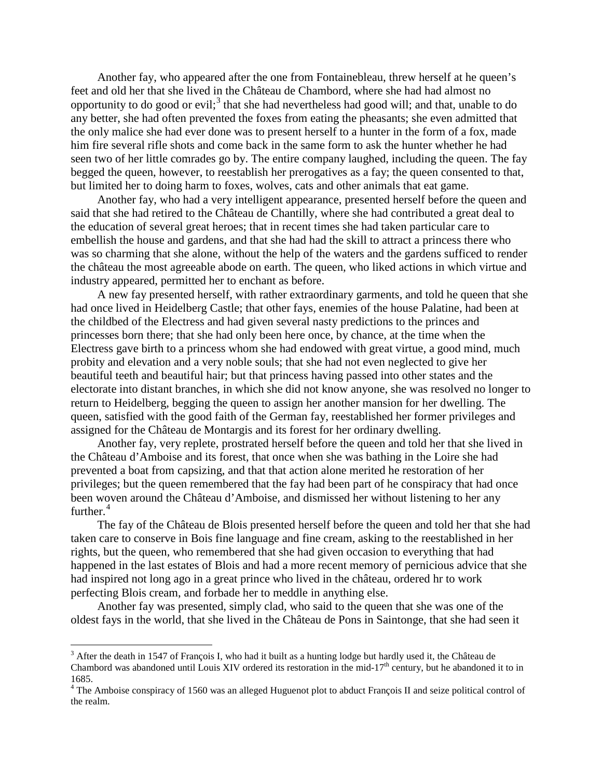Another fay, who appeared after the one from Fontainebleau, threw herself at he queen's feet and old her that she lived in the Château de Chambord, where she had had almost no opportunity to do good or evil;<sup>[3](#page-11-0)</sup> that she had nevertheless had good will; and that, unable to do any better, she had often prevented the foxes from eating the pheasants; she even admitted that the only malice she had ever done was to present herself to a hunter in the form of a fox, made him fire several rifle shots and come back in the same form to ask the hunter whether he had seen two of her little comrades go by. The entire company laughed, including the queen. The fay begged the queen, however, to reestablish her prerogatives as a fay; the queen consented to that, but limited her to doing harm to foxes, wolves, cats and other animals that eat game.

Another fay, who had a very intelligent appearance, presented herself before the queen and said that she had retired to the Château de Chantilly, where she had contributed a great deal to the education of several great heroes; that in recent times she had taken particular care to embellish the house and gardens, and that she had had the skill to attract a princess there who was so charming that she alone, without the help of the waters and the gardens sufficed to render the château the most agreeable abode on earth. The queen, who liked actions in which virtue and industry appeared, permitted her to enchant as before.

A new fay presented herself, with rather extraordinary garments, and told he queen that she had once lived in Heidelberg Castle; that other fays, enemies of the house Palatine, had been at the childbed of the Electress and had given several nasty predictions to the princes and princesses born there; that she had only been here once, by chance, at the time when the Electress gave birth to a princess whom she had endowed with great virtue, a good mind, much probity and elevation and a very noble souls; that she had not even neglected to give her beautiful teeth and beautiful hair; but that princess having passed into other states and the electorate into distant branches, in which she did not know anyone, she was resolved no longer to return to Heidelberg, begging the queen to assign her another mansion for her dwelling. The queen, satisfied with the good faith of the German fay, reestablished her former privileges and assigned for the Château de Montargis and its forest for her ordinary dwelling.

Another fay, very replete, prostrated herself before the queen and told her that she lived in the Château d'Amboise and its forest, that once when she was bathing in the Loire she had prevented a boat from capsizing, and that that action alone merited he restoration of her privileges; but the queen remembered that the fay had been part of he conspiracy that had once been woven around the Château d'Amboise, and dismissed her without listening to her any further. $4$ 

The fay of the Château de Blois presented herself before the queen and told her that she had taken care to conserve in Bois fine language and fine cream, asking to the reestablished in her rights, but the queen, who remembered that she had given occasion to everything that had happened in the last estates of Blois and had a more recent memory of pernicious advice that she had inspired not long ago in a great prince who lived in the château, ordered hr to work perfecting Blois cream, and forbade her to meddle in anything else.

Another fay was presented, simply clad, who said to the queen that she was one of the oldest fays in the world, that she lived in the Château de Pons in Saintonge, that she had seen it

<span id="page-11-0"></span> $3$  After the death in 1547 of François I, who had it built as a hunting lodge but hardly used it, the Château de Chambord was abandoned until Louis XIV ordered its restoration in the mid-17<sup>th</sup> century, but he abandoned it to in 1685.

<span id="page-11-1"></span><sup>&</sup>lt;sup>4</sup> The Amboise conspiracy of 1560 was an alleged Huguenot plot to abduct François II and seize political control of the realm.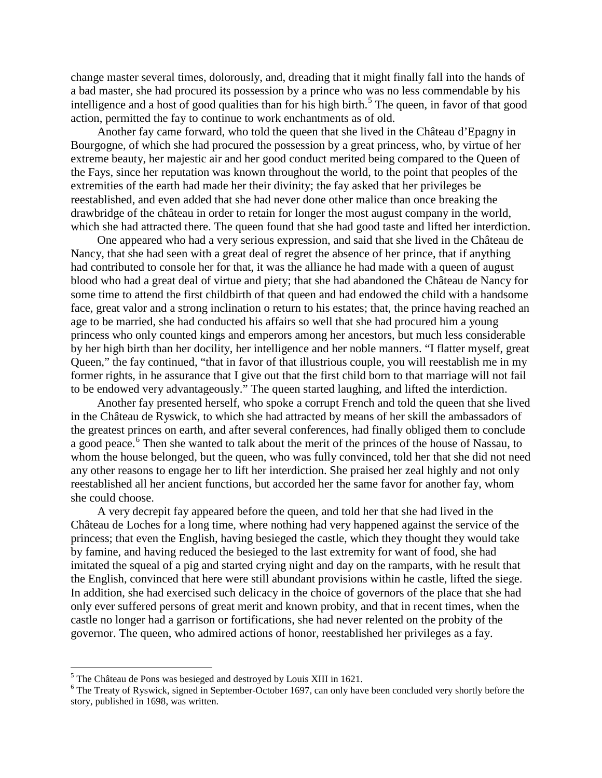change master several times, dolorously, and, dreading that it might finally fall into the hands of a bad master, she had procured its possession by a prince who was no less commendable by his intelligence and a host of good qualities than for his high birth.<sup>[5](#page-12-0)</sup> The queen, in favor of that good action, permitted the fay to continue to work enchantments as of old.

Another fay came forward, who told the queen that she lived in the Château d'Epagny in Bourgogne, of which she had procured the possession by a great princess, who, by virtue of her extreme beauty, her majestic air and her good conduct merited being compared to the Queen of the Fays, since her reputation was known throughout the world, to the point that peoples of the extremities of the earth had made her their divinity; the fay asked that her privileges be reestablished, and even added that she had never done other malice than once breaking the drawbridge of the château in order to retain for longer the most august company in the world, which she had attracted there. The queen found that she had good taste and lifted her interdiction.

One appeared who had a very serious expression, and said that she lived in the Château de Nancy, that she had seen with a great deal of regret the absence of her prince, that if anything had contributed to console her for that, it was the alliance he had made with a queen of august blood who had a great deal of virtue and piety; that she had abandoned the Château de Nancy for some time to attend the first childbirth of that queen and had endowed the child with a handsome face, great valor and a strong inclination o return to his estates; that, the prince having reached an age to be married, she had conducted his affairs so well that she had procured him a young princess who only counted kings and emperors among her ancestors, but much less considerable by her high birth than her docility, her intelligence and her noble manners. "I flatter myself, great Queen," the fay continued, "that in favor of that illustrious couple, you will reestablish me in my former rights, in he assurance that I give out that the first child born to that marriage will not fail to be endowed very advantageously." The queen started laughing, and lifted the interdiction.

Another fay presented herself, who spoke a corrupt French and told the queen that she lived in the Château de Ryswick, to which she had attracted by means of her skill the ambassadors of the greatest princes on earth, and after several conferences, had finally obliged them to conclude a good peace.<sup>[6](#page-12-1)</sup> Then she wanted to talk about the merit of the princes of the house of Nassau, to whom the house belonged, but the queen, who was fully convinced, told her that she did not need any other reasons to engage her to lift her interdiction. She praised her zeal highly and not only reestablished all her ancient functions, but accorded her the same favor for another fay, whom she could choose.

A very decrepit fay appeared before the queen, and told her that she had lived in the Château de Loches for a long time, where nothing had very happened against the service of the princess; that even the English, having besieged the castle, which they thought they would take by famine, and having reduced the besieged to the last extremity for want of food, she had imitated the squeal of a pig and started crying night and day on the ramparts, with he result that the English, convinced that here were still abundant provisions within he castle, lifted the siege. In addition, she had exercised such delicacy in the choice of governors of the place that she had only ever suffered persons of great merit and known probity, and that in recent times, when the castle no longer had a garrison or fortifications, she had never relented on the probity of the governor. The queen, who admired actions of honor, reestablished her privileges as a fay.

<span id="page-12-0"></span><sup>&</sup>lt;sup>5</sup> The Château de Pons was besieged and destroyed by Louis XIII in 1621.

<span id="page-12-1"></span><sup>&</sup>lt;sup>6</sup> The Treaty of Ryswick, signed in September-October 1697, can only have been concluded very shortly before the story, published in 1698, was written.